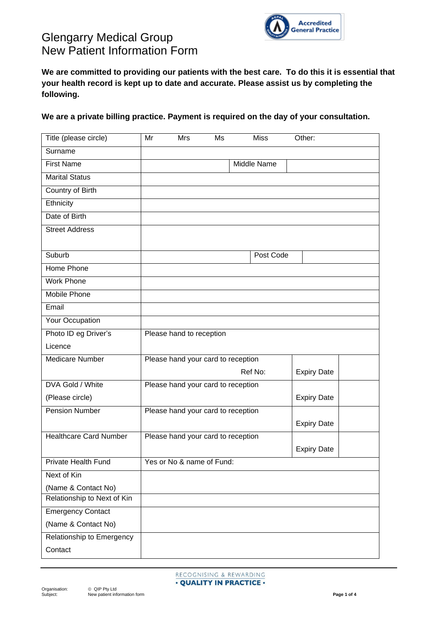

**We are committed to providing our patients with the best care. To do this it is essential that your health record is kept up to date and accurate. Please assist us by completing the following.**

**We are a private billing practice. Payment is required on the day of your consultation.**

| Title (please circle)         | Mr                                 | Mrs                                | Ms |  | <b>Miss</b> | Other:             |  |
|-------------------------------|------------------------------------|------------------------------------|----|--|-------------|--------------------|--|
| Surname                       |                                    |                                    |    |  |             |                    |  |
| <b>First Name</b>             | Middle Name                        |                                    |    |  |             |                    |  |
| <b>Marital Status</b>         |                                    |                                    |    |  |             |                    |  |
| Country of Birth              |                                    |                                    |    |  |             |                    |  |
| Ethnicity                     |                                    |                                    |    |  |             |                    |  |
| Date of Birth                 |                                    |                                    |    |  |             |                    |  |
| <b>Street Address</b>         |                                    |                                    |    |  |             |                    |  |
| Suburb                        |                                    |                                    |    |  | Post Code   |                    |  |
| Home Phone                    |                                    |                                    |    |  |             |                    |  |
| <b>Work Phone</b>             |                                    |                                    |    |  |             |                    |  |
| Mobile Phone                  |                                    |                                    |    |  |             |                    |  |
| Email                         |                                    |                                    |    |  |             |                    |  |
| Your Occupation               |                                    |                                    |    |  |             |                    |  |
| Photo ID eg Driver's          | Please hand to reception           |                                    |    |  |             |                    |  |
| Licence                       |                                    |                                    |    |  |             |                    |  |
| <b>Medicare Number</b>        | Please hand your card to reception |                                    |    |  |             |                    |  |
|                               | Ref No:<br><b>Expiry Date</b>      |                                    |    |  |             |                    |  |
| DVA Gold / White              | Please hand your card to reception |                                    |    |  |             |                    |  |
| (Please circle)               |                                    |                                    |    |  |             | <b>Expiry Date</b> |  |
| <b>Pension Number</b>         | Please hand your card to reception |                                    |    |  |             |                    |  |
|                               |                                    |                                    |    |  |             | <b>Expiry Date</b> |  |
| <b>Healthcare Card Number</b> |                                    | Please hand your card to reception |    |  |             |                    |  |
|                               |                                    |                                    |    |  |             | <b>Expiry Date</b> |  |
| Private Health Fund           |                                    | Yes or No & name of Fund:          |    |  |             |                    |  |
| Next of Kin                   |                                    |                                    |    |  |             |                    |  |
| (Name & Contact No)           |                                    |                                    |    |  |             |                    |  |
| Relationship to Next of Kin   |                                    |                                    |    |  |             |                    |  |
| <b>Emergency Contact</b>      |                                    |                                    |    |  |             |                    |  |
| (Name & Contact No)           |                                    |                                    |    |  |             |                    |  |
| Relationship to Emergency     |                                    |                                    |    |  |             |                    |  |
| Contact                       |                                    |                                    |    |  |             |                    |  |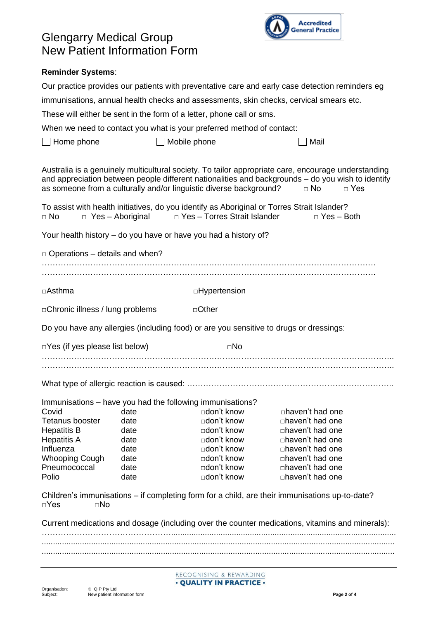

#### **Reminder Systems**:

| Our practice provides our patients with preventative care and early case detection reminders eg<br>immunisations, annual health checks and assessments, skin checks, cervical smears etc.                                                                                                                                                                                                                                                                                                               |              |                                                                                        |                                                                                                 |  |  |  |  |                                                                       |  |
|---------------------------------------------------------------------------------------------------------------------------------------------------------------------------------------------------------------------------------------------------------------------------------------------------------------------------------------------------------------------------------------------------------------------------------------------------------------------------------------------------------|--------------|----------------------------------------------------------------------------------------|-------------------------------------------------------------------------------------------------|--|--|--|--|-----------------------------------------------------------------------|--|
|                                                                                                                                                                                                                                                                                                                                                                                                                                                                                                         |              |                                                                                        |                                                                                                 |  |  |  |  | These will either be sent in the form of a letter, phone call or sms. |  |
| When we need to contact you what is your preferred method of contact:                                                                                                                                                                                                                                                                                                                                                                                                                                   |              |                                                                                        |                                                                                                 |  |  |  |  |                                                                       |  |
| Home phone<br>Mobile phone<br>Mail                                                                                                                                                                                                                                                                                                                                                                                                                                                                      |              |                                                                                        |                                                                                                 |  |  |  |  |                                                                       |  |
|                                                                                                                                                                                                                                                                                                                                                                                                                                                                                                         |              |                                                                                        |                                                                                                 |  |  |  |  |                                                                       |  |
| Australia is a genuinely multicultural society. To tailor appropriate care, encourage understanding<br>and appreciation between people different nationalities and backgrounds - do you wish to identify<br>as someone from a culturally and/or linguistic diverse background?<br>$\Box$ No<br>$\Box$ Yes<br>To assist with health initiatives, do you identify as Aboriginal or Torres Strait Islander?<br>□ Yes - Torres Strait Islander<br>$\Box$ Yes - Aboriginal<br>$\Box$ No<br>$\Box$ Yes - Both |              |                                                                                        |                                                                                                 |  |  |  |  |                                                                       |  |
|                                                                                                                                                                                                                                                                                                                                                                                                                                                                                                         |              |                                                                                        |                                                                                                 |  |  |  |  |                                                                       |  |
|                                                                                                                                                                                                                                                                                                                                                                                                                                                                                                         |              | Your health history – do you have or have you had a history of?                        |                                                                                                 |  |  |  |  |                                                                       |  |
| $\Box$ Operations – details and when?                                                                                                                                                                                                                                                                                                                                                                                                                                                                   |              |                                                                                        |                                                                                                 |  |  |  |  |                                                                       |  |
|                                                                                                                                                                                                                                                                                                                                                                                                                                                                                                         |              |                                                                                        |                                                                                                 |  |  |  |  |                                                                       |  |
|                                                                                                                                                                                                                                                                                                                                                                                                                                                                                                         |              |                                                                                        |                                                                                                 |  |  |  |  |                                                                       |  |
| □Asthma                                                                                                                                                                                                                                                                                                                                                                                                                                                                                                 |              | □Hypertension                                                                          |                                                                                                 |  |  |  |  |                                                                       |  |
| □ Chronic illness / lung problems<br>□Other                                                                                                                                                                                                                                                                                                                                                                                                                                                             |              |                                                                                        |                                                                                                 |  |  |  |  |                                                                       |  |
|                                                                                                                                                                                                                                                                                                                                                                                                                                                                                                         |              | Do you have any allergies (including food) or are you sensitive to drugs or dressings: |                                                                                                 |  |  |  |  |                                                                       |  |
| $\Box$ Yes (if yes please list below)                                                                                                                                                                                                                                                                                                                                                                                                                                                                   |              | $\square$ No                                                                           |                                                                                                 |  |  |  |  |                                                                       |  |
|                                                                                                                                                                                                                                                                                                                                                                                                                                                                                                         |              |                                                                                        |                                                                                                 |  |  |  |  |                                                                       |  |
|                                                                                                                                                                                                                                                                                                                                                                                                                                                                                                         |              |                                                                                        |                                                                                                 |  |  |  |  |                                                                       |  |
|                                                                                                                                                                                                                                                                                                                                                                                                                                                                                                         |              | Immunisations - have you had the following immunisations?                              |                                                                                                 |  |  |  |  |                                                                       |  |
| Covid                                                                                                                                                                                                                                                                                                                                                                                                                                                                                                   | date         | □don't know                                                                            | □haven't had one                                                                                |  |  |  |  |                                                                       |  |
| <b>Tetanus booster</b>                                                                                                                                                                                                                                                                                                                                                                                                                                                                                  | date         | □don't know                                                                            | $\Box$ haven't had one                                                                          |  |  |  |  |                                                                       |  |
| <b>Hepatitis B</b>                                                                                                                                                                                                                                                                                                                                                                                                                                                                                      | date         | □don't know                                                                            | □haven't had one                                                                                |  |  |  |  |                                                                       |  |
| <b>Hepatitis A</b>                                                                                                                                                                                                                                                                                                                                                                                                                                                                                      | date         | □don't know                                                                            | □haven't had one                                                                                |  |  |  |  |                                                                       |  |
| Influenza                                                                                                                                                                                                                                                                                                                                                                                                                                                                                               | date         | □don't know                                                                            | $\Box$ haven't had one                                                                          |  |  |  |  |                                                                       |  |
| <b>Whooping Cough</b><br>Pneumococcal                                                                                                                                                                                                                                                                                                                                                                                                                                                                   | date<br>date | □don't know<br>□don't know                                                             | □haven't had one<br>□haven't had one                                                            |  |  |  |  |                                                                       |  |
| Polio                                                                                                                                                                                                                                                                                                                                                                                                                                                                                                   | date         | □don't know                                                                            | □haven't had one                                                                                |  |  |  |  |                                                                       |  |
|                                                                                                                                                                                                                                                                                                                                                                                                                                                                                                         |              |                                                                                        |                                                                                                 |  |  |  |  |                                                                       |  |
| $\Box$ Yes<br>⊡No                                                                                                                                                                                                                                                                                                                                                                                                                                                                                       |              |                                                                                        | Children's immunisations – if completing form for a child, are their immunisations up-to-date?  |  |  |  |  |                                                                       |  |
|                                                                                                                                                                                                                                                                                                                                                                                                                                                                                                         |              |                                                                                        | Current medications and dosage (including over the counter medications, vitamins and minerals): |  |  |  |  |                                                                       |  |
|                                                                                                                                                                                                                                                                                                                                                                                                                                                                                                         |              |                                                                                        |                                                                                                 |  |  |  |  |                                                                       |  |
|                                                                                                                                                                                                                                                                                                                                                                                                                                                                                                         |              |                                                                                        |                                                                                                 |  |  |  |  |                                                                       |  |
|                                                                                                                                                                                                                                                                                                                                                                                                                                                                                                         |              |                                                                                        |                                                                                                 |  |  |  |  |                                                                       |  |
| RECOGNISING & REWARDING<br>• QUALITY IN PRACTICE •                                                                                                                                                                                                                                                                                                                                                                                                                                                      |              |                                                                                        |                                                                                                 |  |  |  |  |                                                                       |  |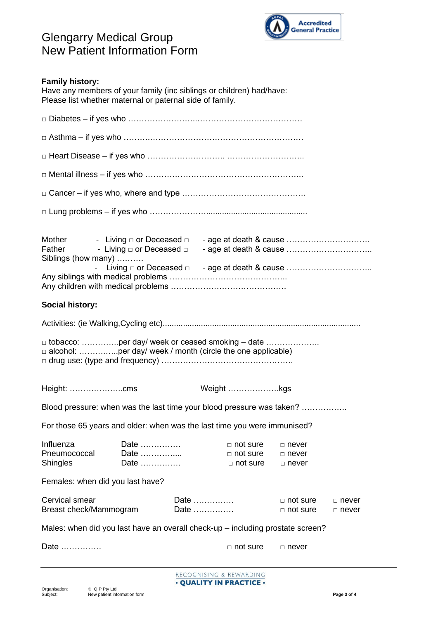

| <b>Family history:</b><br>Have any members of your family (inc siblings or children) had/have:<br>Please list whether maternal or paternal side of family. |                                                 |                         |                                                       |                                              |                    |
|------------------------------------------------------------------------------------------------------------------------------------------------------------|-------------------------------------------------|-------------------------|-------------------------------------------------------|----------------------------------------------|--------------------|
|                                                                                                                                                            |                                                 |                         |                                                       |                                              |                    |
|                                                                                                                                                            |                                                 |                         |                                                       |                                              |                    |
|                                                                                                                                                            |                                                 |                         |                                                       |                                              |                    |
|                                                                                                                                                            |                                                 |                         |                                                       |                                              |                    |
|                                                                                                                                                            |                                                 |                         |                                                       |                                              |                    |
|                                                                                                                                                            |                                                 |                         |                                                       |                                              |                    |
| Mother<br>Siblings (how many)                                                                                                                              | - Living □ or Deceased □ - age at death & cause |                         |                                                       |                                              |                    |
| <b>Social history:</b>                                                                                                                                     |                                                 |                         |                                                       |                                              |                    |
|                                                                                                                                                            |                                                 |                         |                                                       |                                              |                    |
| $\Box$ tobacco: per day/ week or ceased smoking – date                                                                                                     |                                                 |                         |                                                       |                                              |                    |
| Height: cms                                                                                                                                                |                                                 |                         | Weight kgs                                            |                                              |                    |
| Blood pressure: when was the last time your blood pressure was taken?                                                                                      |                                                 |                         |                                                       |                                              |                    |
| For those 65 years and older: when was the last time you were immunised?                                                                                   |                                                 |                         |                                                       |                                              |                    |
| Influenza<br>Pneumococcal<br><b>Shingles</b>                                                                                                               | Date<br>Date<br>Date                            |                         | $\Box$ not sure<br>$\Box$ not sure<br>$\Box$ not sure | $\Box$ never<br>$\Box$ never<br>$\Box$ never |                    |
| Females: when did you last have?                                                                                                                           |                                                 |                         |                                                       |                                              |                    |
| Cervical smear<br>Breast check/Mammogram                                                                                                                   |                                                 | Date<br>Date            |                                                       | $\Box$ not sure<br>$\Box$ not sure           | □ never<br>□ never |
| Males: when did you last have an overall check-up - including prostate screen?                                                                             |                                                 |                         |                                                       |                                              |                    |
| Date                                                                                                                                                       |                                                 |                         | $\Box$ not sure                                       | $\Box$ never                                 |                    |
|                                                                                                                                                            |                                                 | RECOGNISING & REWARDING |                                                       |                                              |                    |